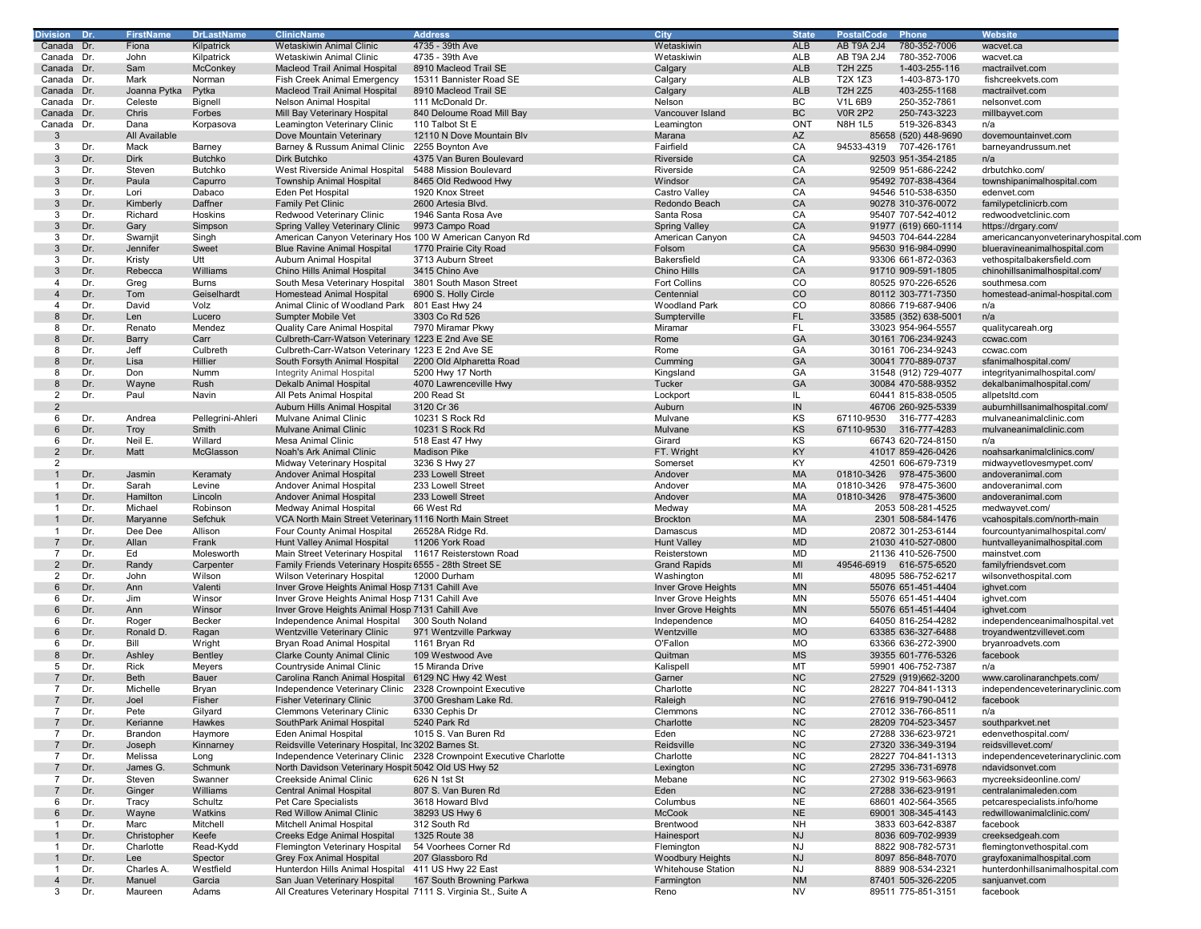| Division       | Dr  | FirstName     | <b>DrLastName</b> | <b>ClinicName</b>                                               | <u>Add</u> ress                                                    | City                      | <b>State</b> | PostalCode<br><b>Phone</b>        | Website                              |
|----------------|-----|---------------|-------------------|-----------------------------------------------------------------|--------------------------------------------------------------------|---------------------------|--------------|-----------------------------------|--------------------------------------|
| Canada Dr.     |     | Fiona         | Kilpatrick        | Wetaskiwin Animal Clinic                                        | 4735 - 39th Ave                                                    | Wetaskiwin                | <b>ALB</b>   | <b>AB T9A 2J4</b><br>780-352-7006 | wacvet.ca                            |
| Canada Dr.     |     | John          | Kilpatrick        | Wetaskiwin Animal Clinic                                        | 4735 - 39th Ave                                                    | Wetaskiwin                | ALB          | AB T9A 2J4<br>780-352-7006        | wacvet.ca                            |
| Canada Dr.     |     | Sam           | McConkey          |                                                                 | 8910 Macleod Trail SE                                              | Calgary                   | ALB          | T2H 2Z5<br>1-403-255-116          |                                      |
|                |     |               |                   | Macleod Trail Animal Hospital                                   |                                                                    |                           |              |                                   | mactrailvet.com                      |
| Canada Dr.     |     | Mark          | Norman            | Fish Creek Animal Emergency                                     | 15311 Bannister Road SE                                            | Calgary                   | ALB          | T2X 1Z3<br>1-403-873-170          | fishcreekvets.com                    |
| Canada Dr.     |     | Joanna Pytka  | Pytka             | Macleod Trail Animal Hospital                                   | 8910 Macleod Trail SE                                              | Calgary                   | <b>ALB</b>   | 403-255-1168<br>T2H 2Z5           | mactrailvet.com                      |
| Canada Dr.     |     | Celeste       | Bignell           | Nelson Animal Hospital                                          | 111 McDonald Dr.                                                   | Nelson                    | BC           | <b>V1L 6B9</b><br>250-352-7861    | nelsonvet.com                        |
| Canada Dr.     |     | Chris         | Forbes            | Mill Bay Veterinary Hospital                                    | 840 Deloume Road Mill Bay                                          | Vancouver Island          | <b>BC</b>    | <b>V0R 2P2</b><br>250-743-3223    | millbayvet.com                       |
| Canada Dr.     |     | Dana          | Korpasova         | Leamington Veterinary Clinic                                    | 110 Talbot St E                                                    | Leamington                | ONT          | <b>N8H 1L5</b><br>519-326-8343    | n/a                                  |
| -3             |     | All Available |                   | Dove Mountain Veterinary                                        | 12110 N Dove Mountain Blv                                          | Marana                    | AZ           | 85658 (520) 448-9690              | dovemountainvet.com                  |
| 3              | Dr. | Mack          | Barney            | Barney & Russum Animal Clinic                                   | 2255 Boynton Ave                                                   | Fairfield                 | CA           | 707-426-1761<br>94533-4319        | barneyandrussum.net                  |
| 3              | Dr. | <b>Dirk</b>   | <b>Butchko</b>    | Dirk Butchko                                                    | 4375 Van Buren Boulevard                                           | Riverside                 | CA           | 92503 951-354-2185                | n/a                                  |
| 3              | Dr. | Steven        | Butchko           | West Riverside Animal Hospital                                  | 5488 Mission Boulevard                                             | Riverside                 | CA           | 92509 951-686-2242                | drbutchko.com/                       |
|                |     |               |                   |                                                                 |                                                                    |                           |              |                                   |                                      |
| 3              | Dr. | Paula         | Capurro           | <b>Township Animal Hospital</b>                                 | 8465 Old Redwood Hwy                                               | Windsor                   | CA           | 95492 707-838-4364                | townshipanimalhospital.com           |
| 3              | Dr. | Lori          | Dabaco            | Eden Pet Hospital                                               | 1920 Knox Street                                                   | Castro Valley             | CA           | 94546 510-538-6350                | edenvet.com                          |
| 3              | Dr. | Kimberly      | Daffner           | Family Pet Clinic                                               | 2600 Artesia Blvd.                                                 | Redondo Beach             | CA           | 90278 310-376-0072                | familypetclinicrb.com                |
| 3              | Dr. | Richard       | Hoskins           | Redwood Veterinary Clinic                                       | 1946 Santa Rosa Ave                                                | Santa Rosa                | CA           | 95407 707-542-4012                | redwoodvetclinic.com                 |
| 3              | Dr. | Gary          | Simpson           | Spring Valley Veterinary Clinic                                 | 9973 Campo Road                                                    | <b>Spring Valley</b>      | CA           | 91977 (619) 660-1114              | https://drgary.com/                  |
| 3              | Dr. | Swarnjit      | Singh             | American Canyon Veterinary Hos 100 W American Canyon Rd         |                                                                    | American Canyon           | CA           | 94503 704-644-2284                | americancanyonveterinaryhospital.com |
| 3              | Dr. | Jennifer      | Sweet             | <b>Blue Ravine Animal Hospital</b>                              | 1770 Prairie City Road                                             | Folsom                    | CA           | 95630 916-984-0990                | blueravineanimalhospital.com         |
| 3              | Dr. | Kristy        | Utt               | Auburn Animal Hospital                                          | 3713 Auburn Street                                                 | Bakersfield               | CA           | 93306 661-872-0363                | vethospitalbakersfield.com           |
|                |     |               |                   |                                                                 |                                                                    |                           |              |                                   |                                      |
| 3              | Dr. | Rebecca       | Williams          | Chino Hills Animal Hospital                                     | 3415 Chino Ave                                                     | Chino Hills               | CA           | 91710 909-591-1805                | chinohillsanimalhospital.com/        |
| 4              | Dr. | Greg          | <b>Burns</b>      | South Mesa Veterinary Hospital                                  | 3801 South Mason Street                                            | Fort Collins              | CO           | 80525 970-226-6526                | southmesa.com                        |
| $\overline{4}$ | Dr. | Tom           | Geiselhardt       | Homestead Animal Hospital                                       | 6900 S. Holly Circle                                               | Centennial                | CO           | 80112 303-771-7350                | homestead-animal-hospital.com        |
| $\overline{4}$ | Dr. | David         | Volz              | Animal Clinic of Woodland Park                                  | 801 East Hwy 24                                                    | <b>Woodland Park</b>      | CO           | 80866 719-687-9406                | n/a                                  |
| 8              | Dr. | Len           | Lucero            | Sumpter Mobile Vet                                              | 3303 Co Rd 526                                                     | Sumpterville              | FL           | 33585 (352) 638-5001              | n/a                                  |
| 8              | Dr. | Renato        | Mendez            | <b>Quality Care Animal Hospital</b>                             | 7970 Miramar Pkwy                                                  | Miramar                   | FL           | 33023 954-964-5557                | qualitycareah.org                    |
| 8              | Dr. | Barry         | Carr              | Culbreth-Carr-Watson Veterinary 1223 E 2nd Ave SE               |                                                                    | Rome                      | GA           | 30161 706-234-9243                | ccwac.com                            |
|                |     |               |                   |                                                                 |                                                                    |                           |              |                                   |                                      |
| 8              | Dr. | Jeff          | Culbreth          | Culbreth-Carr-Watson Veterinary 1223 E 2nd Ave SE               |                                                                    | Rome                      | GA           | 30161 706-234-9243                | ccwac.com                            |
| 8              | Dr. | Lisa          | Hillier           | South Forsyth Animal Hospital                                   | 2200 Old Alpharetta Road                                           | Cumming                   | GA           | 30041 770-889-0737                | sfanimalhospital.com/                |
| 8              | Dr. | Don           | Numm              | <b>Integrity Animal Hospital</b>                                | 5200 Hwy 17 North                                                  | Kingsland                 | GA           | 31548 (912) 729-4077              | integrityanimalhospital.com/         |
| 8              | Dr. | Wayne         | Rush              | Dekalb Animal Hospital                                          | 4070 Lawrenceville Hwy                                             | Tucker                    | GA           | 30084 470-588-9352                | dekalbanimalhospital.com/            |
| 2              | Dr. | Paul          | Navin             | All Pets Animal Hospital                                        | 200 Read St                                                        | Lockport                  | IL           | 60441 815-838-0505                | allpetsItd.com                       |
| $\overline{2}$ |     |               |                   | Auburn Hills Animal Hospital                                    | 3120 Cr 36                                                         | Auburn                    | ${\sf IN}$   | 46706 260-925-5339                | auburnhillsanimalhospital.com/       |
| 6              | Dr. | Andrea        | Pellegrini-Ahleri | Mulvane Animal Clinic                                           | 10231 S Rock Rd                                                    | Mulvane                   | KS           | 67110-9530<br>316-777-4283        | mulvaneanimalclinic.com              |
|                |     |               | Smith             |                                                                 |                                                                    | Mulvane                   |              | 67110-9530 316-777-4283           | mulvaneanimalclinic.com              |
| 6              | Dr. | Troy          |                   | <b>Mulvane Animal Clinic</b>                                    | 10231 S Rock Rd                                                    |                           | KS           |                                   |                                      |
| 6              | Dr. | Neil E.       | Willard           | Mesa Animal Clinic                                              | 518 East 47 Hwy                                                    | Girard                    | KS           | 66743 620-724-8150                | n/a                                  |
| $\overline{2}$ | Dr. | Matt          | McGlasson         | Noah's Ark Animal Clinic                                        | <b>Madison Pike</b>                                                | FT. Wright                | KY           | 41017 859-426-0426                | noahsarkanimalclinics.com/           |
| 2              |     |               |                   | Midway Veterinary Hospital                                      | 3236 S Hwy 27                                                      | Somerset                  | KY           | 42501 606-679-7319                | midwayvetlovesmypet.com/             |
|                | Dr. | Jasmin        | Keramaty          | Andover Animal Hospital                                         | 233 Lowell Street                                                  | Andover                   | MA           | 01810-3426 978-475-3600           | andoveranimal.com                    |
|                | Dr. | Sarah         | Levine            | Andover Animal Hospital                                         | 233 Lowell Street                                                  | Andover                   | MA           | 978-475-3600<br>01810-3426        | andoveranimal.com                    |
|                | Dr. | Hamilton      | Lincoln           | Andover Animal Hospital                                         | 233 Lowell Street                                                  | Andover                   | MA           | 01810-3426 978-475-3600           | andoveranimal.com                    |
|                | Dr. | Michael       | Robinson          | Medway Animal Hospital                                          | 66 West Rd                                                         | Medway                    | <b>MA</b>    | 2053 508-281-4525                 | medwayvet.com/                       |
|                | Dr. | Maryanne      | Sefchuk           | VCA North Main Street Veterinary 1116 North Main Street         |                                                                    | <b>Brockton</b>           | MA           | 2301 508-584-1476                 | vcahospitals.com/north-main          |
|                |     |               |                   |                                                                 |                                                                    |                           |              |                                   |                                      |
| -1             | Dr. | Dee Dee       | Allison           | Four County Animal Hospital                                     | 26528A Ridge Rd.                                                   | Damascus                  | MD           | 20872 301-253-6144                | fourcountyanimalhospital.com/        |
|                | Dr. | Allan         | Frank             | Hunt Valley Animal Hospital                                     | 11206 York Road                                                    | <b>Hunt Valley</b>        | <b>MD</b>    | 21030 410-527-0800                | huntvalleyanimalhospital.com         |
| $\overline{7}$ | Dr. | Ed            | Molesworth        | Main Street Veterinary Hospital                                 | 11617 Reisterstown Road                                            | Reisterstown              | <b>MD</b>    | 21136 410-526-7500                | mainstvet.com                        |
| $\overline{2}$ | Dr. | Randy         | Carpenter         | Family Friends Veterinary Hospit: 6555 - 28th Street SE         |                                                                    | <b>Grand Rapids</b>       | MI           | 49546-6919 616-575-6520           | familyfriendsvet.com                 |
| 2              | Dr. | John          | Wilson            | Wilson Veterinary Hospital                                      | 12000 Durham                                                       | Washington                | MI           | 48095 586-752-6217                | wilsonvethospital.com                |
| 6              | Dr. | Ann           | Valenti           | Inver Grove Heights Animal Hosp 7131 Cahill Ave                 |                                                                    | Inver Grove Heights       | <b>MN</b>    | 55076 651-451-4404                | ighvet.com                           |
| 6              | Dr. | Jim           | Winsor            | Inver Grove Heights Animal Hosp 7131 Cahill Ave                 |                                                                    | Inver Grove Heights       | MN           | 55076 651-451-4404                | ighvet.com                           |
| 6              | Dr. | Ann           | Winsor            | Inver Grove Heights Animal Hosp 7131 Cahill Ave                 |                                                                    | Inver Grove Heights       | <b>MN</b>    | 55076 651-451-4404                | ighvet.com                           |
| 6              | Dr. |               | Becker            | Independence Animal Hospital                                    | 300 South Noland                                                   | Independence              | MO           | 64050 816-254-4282                | independenceanimalhospital.vet       |
|                |     | Roger         |                   |                                                                 |                                                                    |                           |              |                                   |                                      |
| 6              | Dr. | Ronald D.     | Ragan             | Wentzville Veterinary Clinic                                    | 971 Wentzville Parkway                                             | Wentzville                | <b>MO</b>    | 63385 636-327-6488                | troyandwentzvillevet.com             |
| 6              | Dr. | Bill          | Wright            | Bryan Road Animal Hospital                                      | 1161 Bryan Rd                                                      | O'Fallon                  | MO           | 63366 636-272-3900                | bryanroadvets.com                    |
| 8              | Dr. | Ashley        | Bentley           | <b>Clarke County Animal Clinic</b>                              | 109 Westwood Ave                                                   | Quitman                   | <b>MS</b>    | 39355 601-776-5326                | facebook                             |
| 5              | Dr. | Rick          | Meyers            | Countryside Animal Clinic                                       | 15 Miranda Drive                                                   | Kalispell                 | MT           | 59901 406-752-7387                | n/a                                  |
|                | Dr. | Beth          | <b>Bauer</b>      | Carolina Ranch Animal Hospital                                  | 6129 NC Hwy 42 West                                                | Garner                    | <b>NC</b>    | 27529 (919)662-3200               | www.carolinaranchpets.com/           |
| $\overline{7}$ | Dr. | Michelle      | Bryan             | Independence Veterinary Clinic                                  | 2328 Crownpoint Executive                                          | Charlotte                 | NC.          | 28227 704-841-1313                | independenceveterinaryclinic.com     |
|                | Dr. | Joel          | Fisher            | <b>Fisher Veterinary Clinic</b>                                 | 3700 Gresham Lake Rd.                                              | Raleigh                   | <b>NC</b>    | 27616 919-790-0412                | facebook                             |
| $\overline{7}$ | Dr. | Pete          | Gilyard           | Clemmons Veterinary Clinic                                      | 6330 Cephis Dr                                                     | Clemmons                  | <b>NC</b>    | 27012 336-766-8511                | n/a                                  |
|                |     |               |                   | SouthPark Animal Hospital                                       | 5240 Park Rd                                                       |                           | <b>NC</b>    |                                   |                                      |
|                | Dr. | Kerianne      | Hawkes            |                                                                 |                                                                    | Charlotte                 |              | 28209 704-523-3457                | southparkvet.net                     |
| $\overline{7}$ | Dr. | Brandon       | Haymore           | <b>Eden Animal Hospital</b>                                     | 1015 S. Van Buren Rd                                               | Eden                      | NC           | 27288 336-623-9721                | edenvethospital.com/                 |
|                | Dr. | Joseph        | Kinnarney         | Reidsville Veterinary Hospital, Inc 3202 Barnes St.             |                                                                    | Reidsville                | <b>NC</b>    | 27320 336-349-3194                | reidsvillevet.com/                   |
| $\overline{7}$ | Dr. | Melissa       | Long              |                                                                 | Independence Veterinary Clinic 2328 Crownpoint Executive Charlotte | Charlotte                 | NC.          | 28227 704-841-1313                | independenceveterinaryclinic.com     |
| 7              | Dr. | James G.      | Schmunk           | North Davidson Veterinary Hospit 5042 Old US Hwy 52             |                                                                    | Lexington                 | NC           | 27295 336-731-6978                | ndavidsonvet.com                     |
| $\overline{7}$ | Dr. | Steven        | Swanner           | Creekside Animal Clinic                                         | 626 N 1st St                                                       | Mebane                    | <b>NC</b>    | 27302 919-563-9663                | mycreeksideonline.com/               |
|                | Dr. | Ginger        | Williams          | <b>Central Animal Hospital</b>                                  | 807 S. Van Buren Rd                                                | Eden                      | <b>NC</b>    | 27288 336-623-9191                | centralanimaleden.com                |
| 6              | Dr. | Tracy         | Schultz           | Pet Care Specialists                                            | 3618 Howard Blvd                                                   | Columbus                  | <b>NE</b>    | 68601 402-564-3565                | petcarespecialists.info/home         |
|                |     |               |                   |                                                                 |                                                                    |                           |              |                                   |                                      |
| 6              | Dr. | Wayne         | Watkins           | Red Willow Animal Clinic                                        | 38293 US Hwy 6                                                     | <b>McCook</b>             | <b>NE</b>    | 69001 308-345-4143                | redwillowanimalclinic.com/           |
| $\overline{1}$ | Dr. | Marc          | Mitchell          | Mitchell Animal Hospital                                        | 312 South Rd                                                       | Brentwood                 | <b>NH</b>    | 3833 603-642-8387                 | facebook                             |
|                | Dr. | Christopher   | Keefe             | Creeks Edge Animal Hospital                                     | 1325 Route 38                                                      | Hainesport                | <b>NJ</b>    | 8036 609-702-9939                 | creeksedgeah.com                     |
| 1              | Dr. | Charlotte     | Read-Kydd         | Flemington Veterinary Hospital                                  | 54 Voorhees Corner Rd                                              | Flemington                | <b>NJ</b>    | 8822 908-782-5731                 | flemingtonvethospital.com            |
|                | Dr. | Lee           | Spector           | <b>Grey Fox Animal Hospital</b>                                 | 207 Glassboro Rd                                                   | Woodbury Heights          | <b>NJ</b>    | 8097 856-848-7070                 | gravfoxanimalhospital.com            |
| -1             | Dr. | Charles A.    | Westfield         | Hunterdon Hills Animal Hospital                                 | 411 US Hwy 22 East                                                 | <b>Whitehouse Station</b> | <b>NJ</b>    | 8889 908-534-2321                 | hunterdonhillsanimalhospital.com     |
| $\overline{4}$ | Dr. | Manuel        | Garcia            | San Juan Veterinary Hospital                                    | 167 South Browning Parkwa                                          | Farmington                | <b>NM</b>    | 87401 505-326-2205                | sanjuanvet.com                       |
| 3              | Dr. | Maureen       | Adams             | All Creatures Veterinary Hospital 7111 S. Virginia St., Suite A |                                                                    | Reno                      | NV           | 89511 775-851-3151                | facebook                             |
|                |     |               |                   |                                                                 |                                                                    |                           |              |                                   |                                      |